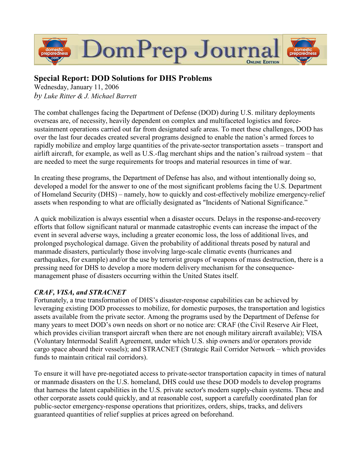

## Special Report: DOD Solutions for DHS Problems

Wednesday, January 11, 2006 by Luke Ritter & J. Michael Barrett

The combat challenges facing the Department of Defense (DOD) during U.S. military deployments overseas are, of necessity, heavily dependent on complex and multifaceted logistics and forcesustainment operations carried out far from designated safe areas. To meet these challenges, DOD has over the last four decades created several programs designed to enable the nation's armed forces to rapidly mobilize and employ large quantities of the private-sector transportation assets – transport and airlift aircraft, for example, as well as U.S.-flag merchant ships and the nation's railroad system – that are needed to meet the surge requirements for troops and material resources in time of war.

In creating these programs, the Department of Defense has also, and without intentionally doing so, developed a model for the answer to one of the most significant problems facing the U.S. Department of Homeland Security (DHS) – namely, how to quickly and cost-effectively mobilize emergency-relief assets when responding to what are officially designated as "Incidents of National Significance."

A quick mobilization is always essential when a disaster occurs. Delays in the response-and-recovery efforts that follow significant natural or manmade catastrophic events can increase the impact of the event in several adverse ways, including a greater economic loss, the loss of additional lives, and prolonged psychological damage. Given the probability of additional threats posed by natural and manmade disasters, particularly those involving large-scale climatic events (hurricanes and earthquakes, for example) and/or the use by terrorist groups of weapons of mass destruction, there is a pressing need for DHS to develop a more modern delivery mechanism for the consequencemanagement phase of disasters occurring within the United States itself.

## CRAF, VISA, and STRACNET

Fortunately, a true transformation of DHS's disaster-response capabilities can be achieved by leveraging existing DOD processes to mobilize, for domestic purposes, the transportation and logistics assets available from the private sector. Among the programs used by the Department of Defense for many years to meet DOD's own needs on short or no notice are: CRAF (the Civil Reserve Air Fleet, which provides civilian transport aircraft when there are not enough military aircraft available); VISA (Voluntary Intermodal Sealift Agreement, under which U.S. ship owners and/or operators provide cargo space aboard their vessels); and STRACNET (Strategic Rail Corridor Network – which provides funds to maintain critical rail corridors).

To ensure it will have pre-negotiated access to private-sector transportation capacity in times of natural or manmade disasters on the U.S. homeland, DHS could use these DOD models to develop programs that harness the latent capabilities in the U.S. private sector's modern supply-chain systems. These and other corporate assets could quickly, and at reasonable cost, support a carefully coordinated plan for public-sector emergency-response operations that prioritizes, orders, ships, tracks, and delivers guaranteed quantities of relief supplies at prices agreed on beforehand.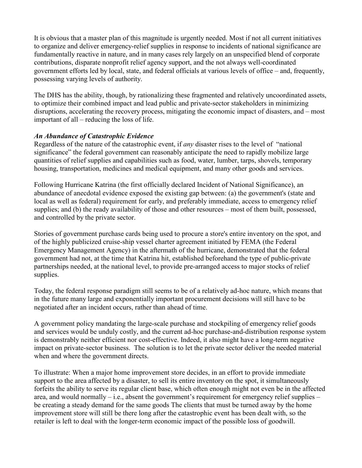It is obvious that a master plan of this magnitude is urgently needed. Most if not all current initiatives to organize and deliver emergency-relief supplies in response to incidents of national significance are fundamentally reactive in nature, and in many cases rely largely on an unspecified blend of corporate contributions, disparate nonprofit relief agency support, and the not always well-coordinated government efforts led by local, state, and federal officials at various levels of office – and, frequently, possessing varying levels of authority.

The DHS has the ability, though, by rationalizing these fragmented and relatively uncoordinated assets, to optimize their combined impact and lead public and private-sector stakeholders in minimizing disruptions, accelerating the recovery process, mitigating the economic impact of disasters, and – most important of all – reducing the loss of life.

## An Abundance of Catastrophic Evidence

Regardless of the nature of the catastrophic event, if any disaster rises to the level of "national significance" the federal government can reasonably anticipate the need to rapidly mobilize large quantities of relief supplies and capabilities such as food, water, lumber, tarps, shovels, temporary housing, transportation, medicines and medical equipment, and many other goods and services.

Following Hurricane Katrina (the first officially declared Incident of National Significance), an abundance of anecdotal evidence exposed the existing gap between: (a) the government's (state and local as well as federal) requirement for early, and preferably immediate, access to emergency relief supplies; and (b) the ready availability of those and other resources – most of them built, possessed, and controlled by the private sector.

Stories of government purchase cards being used to procure a store's entire inventory on the spot, and of the highly publicized cruise-ship vessel charter agreement initiated by FEMA (the Federal Emergency Management Agency) in the aftermath of the hurricane, demonstrated that the federal government had not, at the time that Katrina hit, established beforehand the type of public-private partnerships needed, at the national level, to provide pre-arranged access to major stocks of relief supplies.

Today, the federal response paradigm still seems to be of a relatively ad-hoc nature, which means that in the future many large and exponentially important procurement decisions will still have to be negotiated after an incident occurs, rather than ahead of time.

A government policy mandating the large-scale purchase and stockpiling of emergency relief goods and services would be unduly costly, and the current ad-hoc purchase-and-distribution response system is demonstrably neither efficient nor cost-effective. Indeed, it also might have a long-term negative impact on private-sector business. The solution is to let the private sector deliver the needed material when and where the government directs.

To illustrate: When a major home improvement store decides, in an effort to provide immediate support to the area affected by a disaster, to sell its entire inventory on the spot, it simultaneously forfeits the ability to serve its regular client base, which often enough might not even be in the affected area, and would normally  $-$  i.e., absent the government's requirement for emergency relief supplies  $$ be creating a steady demand for the same goods The clients that must be turned away by the home improvement store will still be there long after the catastrophic event has been dealt with, so the retailer is left to deal with the longer-term economic impact of the possible loss of goodwill.